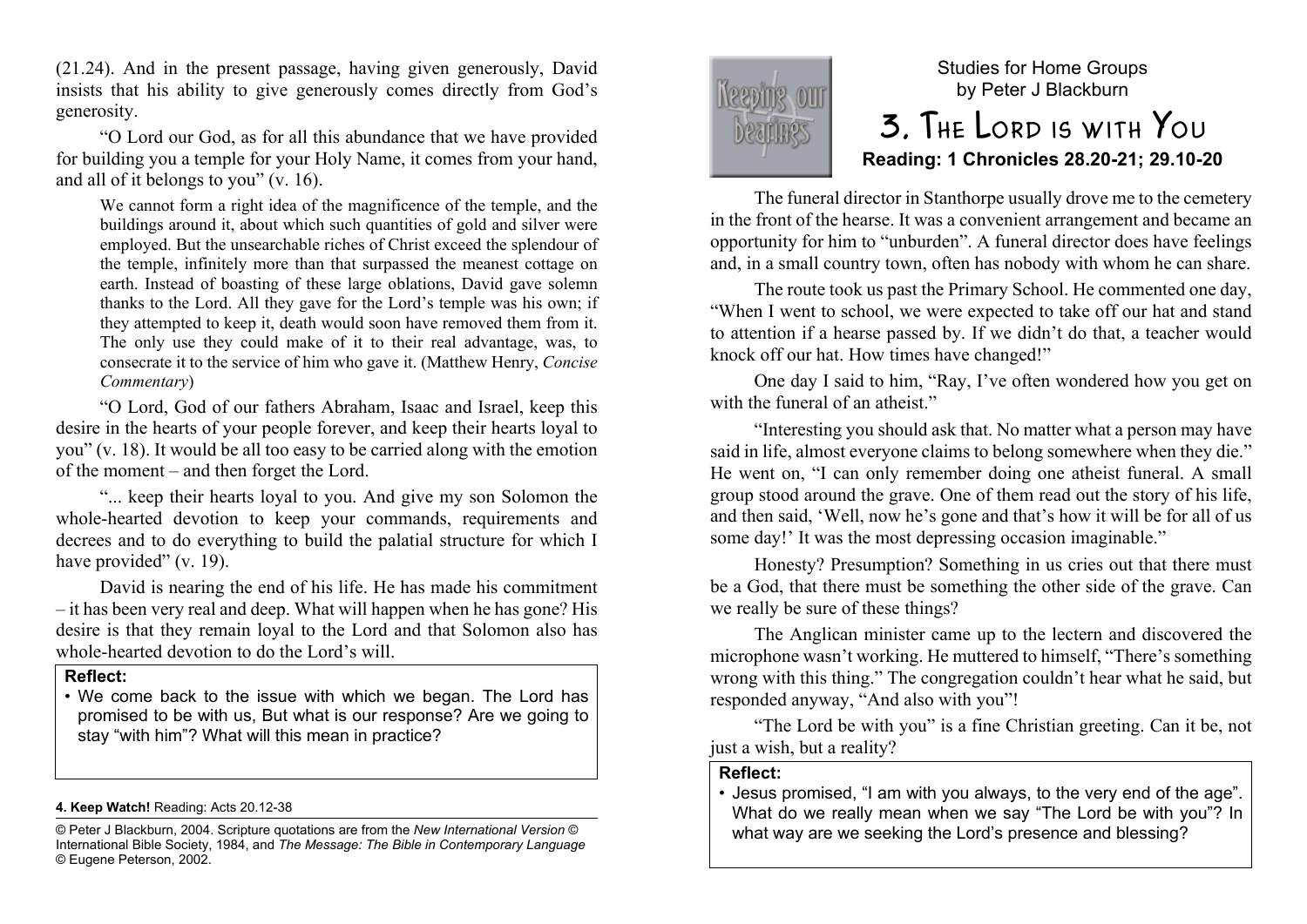(21.24). And in the present passage, having given generously, David insists that his ability to give generously comes directly from God's generosity.

"O Lord our God, as for all this abundance that we have provided for building you a temple for your Holy Name, it comes from your hand, and all of it belongs to you" (v. 16).

We cannot form a right idea of the magnificence of the temple, and the buildings around it, about which such quantities of gold and silver were employed. But the unsearchable riches of Christ exceed the splendour of the temple, infinitely more than that surpassed the meanest cottage on earth. Instead of boasting of these large oblations, David gave solemn thanks to the Lord. All they gave for the Lord's temple was his own; if they attempted to keep it, death would soon have removed them from it. The only use they could make of it to their real advantage, was, to consecrate it to the service of him who gave it. (Matthew Henry, *Concise Commentary*)

"O Lord, God of our fathers Abraham, Isaac and Israel, keep this desire in the hearts of your people forever, and keep their hearts loyal to you" (v. 18). It would be all too easy to be carried along with the emotion of the moment – and then forget the Lord.

"... keep their hearts loyal to you. And give my son Solomon the whole-hearted devotion to keep your commands, requirements and decrees and to do everything to build the palatial structure for which I have provided" (v. 19).

David is nearing the end of his life. He has made his commitment – it has been very real and deep. What will happen when he has gone? His desire is that they remain loyal to the Lord and that Solomon also has whole-hearted devotion to do the Lord's will.

#### **Reflect:**

• We come back to the issue with which we began. The Lord has promised to be with us, But what is our response? Are we going to stay "with him"? What will this mean in practice?

#### **4. Keep Watch!** Reading: Acts 20.12-38

© Peter J Blackburn, 2004. Scripture quotations are from the *New International Version* © International Bible Society, 1984, and *The Message: The Bible in Contemporary Language* © Eugene Peterson, 2002.



# Studies for Home Groups by Peter J Blackburn 3. The Lord is with You

# **Reading: 1 Chronicles 28.20-21; 29.10-20**

The funeral director in Stanthorpe usually drove me to the cemetery in the front of the hearse. It was a convenient arrangement and became an opportunity for him to "unburden". A funeral director does have feelings and, in a small country town, often has nobody with whom he can share.

The route took us past the Primary School. He commented one day, "When I went to school, we were expected to take off our hat and stand to attention if a hearse passed by. If we didn't do that, a teacher would knock off our hat. How times have changed!"

One day I said to him, "Ray, I've often wondered how you get on with the funeral of an atheist."

"Interesting you should ask that. No matter what a person may have said in life, almost everyone claims to belong somewhere when they die." He went on, "I can only remember doing one atheist funeral. A small group stood around the grave. One of them read out the story of his life, and then said, 'Well, now he's gone and that's how it will be for all of us some day!' It was the most depressing occasion imaginable."

Honesty? Presumption? Something in us cries out that there must be a God, that there must be something the other side of the grave. Can we really be sure of these things?

The Anglican minister came up to the lectern and discovered the microphone wasn't working. He muttered to himself, "There's something wrong with this thing." The congregation couldn't hear what he said, but responded anyway, "And also with you"!

"The Lord be with you" is a fine Christian greeting. Can it be, not just a wish, but a reality?

#### **Reflect:**

• Jesus promised, "I am with you always, to the very end of the age". What do we really mean when we say "The Lord be with you"? In what way are we seeking the Lord's presence and blessing?